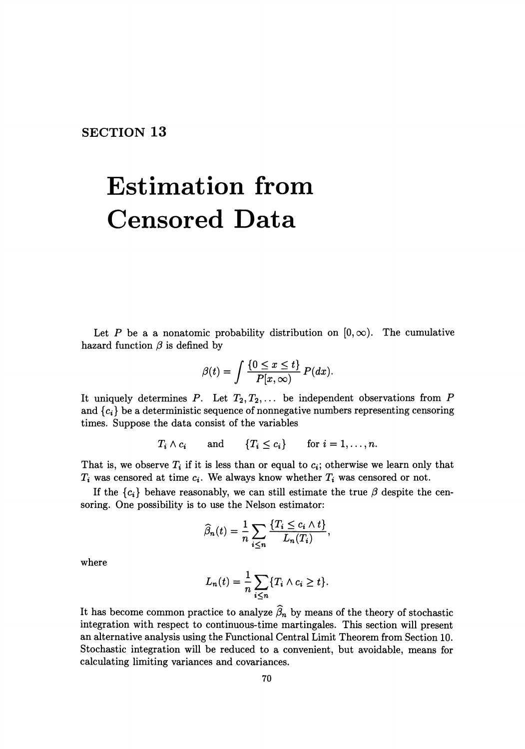**SECTION 13** 

## **Estimation from Censored Data**

Let *P* be a a nonatomic probability distribution on  $[0, \infty)$ . The cumulative hazard function  $\beta$  is defined by

$$
\beta(t) = \int \frac{\{0 \le x \le t\}}{P[x, \infty)} P(dx).
$$

It uniquely determines *P*. Let  $T_2, T_2, \ldots$  be independent observations from *P* and  ${c_i}$  be a deterministic sequence of nonnegative numbers representing censoring times. Suppose the data consist of the variables

$$
T_i \wedge c_i
$$
 and  $\{T_i \le c_i\}$  for  $i = 1, ..., n$ .

That is, we observe  $T_i$  if it is less than or equal to  $c_i$ ; otherwise we learn only that  $T_i$  was censored at time  $c_i$ . We always know whether  $T_i$  was censored or not.

If the  ${c_i}$  behave reasonably, we can still estimate the true  $\beta$  despite the censoring. One possibility is to use the Nelson estimator:

$$
\widehat{\beta}_n(t) = \frac{1}{n} \sum_{i \leq n} \frac{\{T_i \leq c_i \wedge t\}}{L_n(T_i)},
$$

where

$$
L_n(t) = \frac{1}{n} \sum_{i \leq n} \{T_i \wedge c_i \geq t\}.
$$

It has become common practice to analyze  $\hat{\beta}_n$  by means of the theory of stochastic integration with respect to continuous-time martingales. This section will present an alternative analysis using the Functional Central Limit Theorem from Section 10. Stochastic integration will be reduced to a convenient, but avoidable, means for calculating limiting variances and covariances.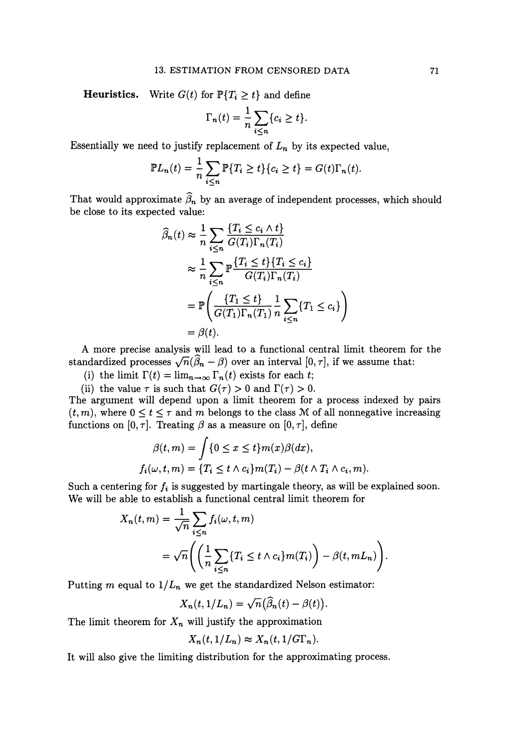**Heuristics.** Write  $G(t)$  for  $\mathbb{P}\{T_i \geq t\}$  and define

$$
\Gamma_n(t) = \frac{1}{n} \sum_{i \leq n} \{c_i \geq t\}.
$$

Essentially we need to justify replacement of  $L_n$  by its expected value,

$$
\mathbb{P}L_n(t) = \frac{1}{n} \sum_{i \le n} \mathbb{P}\{T_i \ge t\} \{c_i \ge t\} = G(t)\Gamma_n(t).
$$

That would approximate  $\widehat{\beta}_n$  by an average of independent processes, which should be close to its expected value:

$$
\widehat{\beta}_n(t) \approx \frac{1}{n} \sum_{i \le n} \frac{\{T_i \le c_i \land t\}}{G(T_i) \Gamma_n(T_i)}
$$
\n
$$
\approx \frac{1}{n} \sum_{i \le n} \mathbb{P} \frac{\{T_i \le t\} \{T_i \le c_i\}}{G(T_i) \Gamma_n(T_i)}
$$
\n
$$
= \mathbb{P} \left( \frac{\{T_1 \le t\}}{G(T_1) \Gamma_n(T_1)} \frac{1}{n} \sum_{i \le n} \{T_1 \le c_i\} \right)
$$
\n
$$
= \beta(t).
$$

A more precise analysis will lead to a functional central limit theorem for the standardized processes  $\sqrt{n}(\hat{\beta}_n - \beta)$  over an interval  $[0, \tau]$ , if we assume that:

(i) the limit  $\Gamma(t) = \lim_{n \to \infty} \Gamma_n(t)$  exists for each t;

(ii) the value  $\tau$  is such that  $G(\tau) > 0$  and  $\Gamma(\tau) > 0$ .

The argument will depend upon a limit theorem for a process indexed by pairs  $(t, m)$ , where  $0 \le t \le \tau$  and *m* belongs to the class M of all nonnegative increasing functions on  $[0, \tau]$ . Treating  $\beta$  as a measure on  $[0, \tau]$ , define

$$
\beta(t,m) = \int \{0 \le x \le t\} m(x)\beta(dx),
$$
  

$$
f_i(\omega, t, m) = \{T_i \le t \wedge c_i\} m(T_i) - \beta(t \wedge T_i \wedge c_i, m).
$$

Such a centering for  $f_i$  is suggested by martingale theory, as will be explained soon. We will be able to establish a functional central limit theorem for

$$
X_n(t,m) = \frac{1}{\sqrt{n}} \sum_{i \le n} f_i(\omega, t, m)
$$
  
=  $\sqrt{n} \left( \left( \frac{1}{n} \sum_{i \le n} \{T_i \le t \wedge c_i\} m(T_i) \right) - \beta(t, mL_n) \right).$ 

Putting  $m$  equal to  $1/L_n$  we get the standardized Nelson estimator:

$$
X_n(t,1/L_n)=\sqrt{n}(\widehat{\beta}_n(t)-\beta(t)).
$$

The limit theorem for  $X_n$  will justify the approximation

$$
X_n(t,1/L_n) \approx X_n(t,1/G\Gamma_n).
$$

It will also give the limiting distribution for the approximating process.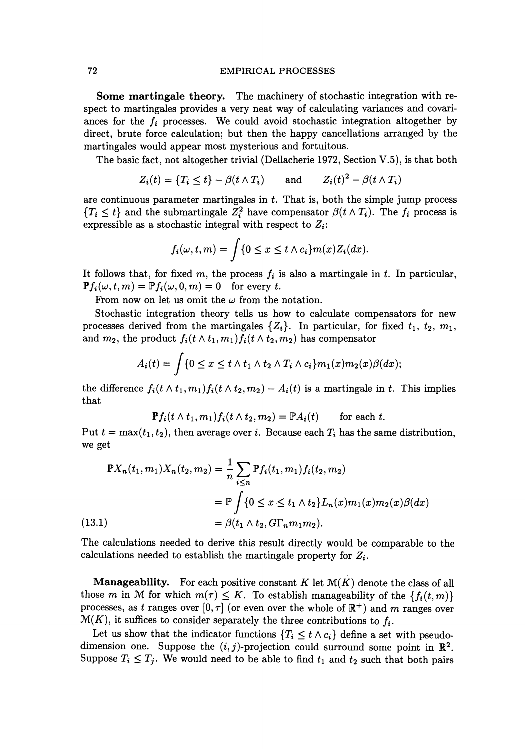## 72 EMPIRICAL PROCESSES

**Some martingale theory.** The machinery of stochastic integration with respect to martingales provides a very neat way of calculating variances and covariances for the  $f_i$  processes. We could avoid stochastic integration altogether by direct, brute force calculation; but then the happy cancellations arranged by the martingales would appear most mysterious and fortuitous.

The basic fact, not altogether trivial (Dellacherie 1972, Section V.5), is that both

$$
Z_i(t) = \{T_i \le t\} - \beta(t \wedge T_i) \quad \text{and} \quad Z_i(t)^2 - \beta(t \wedge T_i)
$$

are continuous parameter martingales in *t.* That is, both the simple jump process  ${T_i \leq t}$  and the submartingale  $Z_i^2$  have compensator  $\beta(t \wedge T_i)$ . The  $f_i$  process is expressible as a stochastic integral with respect to *Zi:* 

$$
f_i(\omega, t, m) = \int \{0 \le x \le t \wedge c_i\} m(x) Z_i(dx).
$$

It follows that, for fixed  $m$ , the process  $f_i$  is also a martingale in  $t$ . In particular,  $\mathbb{P}f_i(\omega,t,m) = \mathbb{P}f_i(\omega,0,m) = 0$  for every *t*.

From now on let us omit the  $\omega$  from the notation.

Stochastic integration theory tells us how to calculate compensators for new processes derived from the martingales  $\{Z_i\}$ . In particular, for fixed  $t_1$ ,  $t_2$ ,  $m_1$ , and  $m_2$ , the product  $f_i(t \wedge t_1, m_1)f_i(t \wedge t_2, m_2)$  has compensator

$$
A_i(t) = \int \{0 \le x \le t \wedge t_1 \wedge t_2 \wedge T_i \wedge c_i\} m_1(x) m_2(x) \beta(dx);
$$

the difference  $f_i(t \wedge t_1, m_1)f_i(t \wedge t_2, m_2) - A_i(t)$  is a martingale in *t*. This implies that

$$
\mathbb{P} f_i(t \wedge t_1, m_1) f_i(t \wedge t_2, m_2) = \mathbb{P} A_i(t) \quad \text{for each } t.
$$

Put  $t = \max(t_1, t_2)$ , then average over i. Because each  $T_i$  has the same distribution, we get

$$
\mathbb{P}X_n(t_1, m_1)X_n(t_2, m_2) = \frac{1}{n} \sum_{i \le n} \mathbb{P}f_i(t_1, m_1) f_i(t_2, m_2)
$$
  
=  $\mathbb{P} \int \{0 \le x \le t_1 \wedge t_2\} L_n(x) m_1(x) m_2(x) \beta(dx)$   
=  $\beta(t_1 \wedge t_2, G\Gamma_n m_1 m_2).$ 

The calculations needed to derive this result directly would be comparable to the calculations needed to establish the martingale property for *Zi.* 

**Manageability.** For each positive constant  $K$  let  $\mathcal{M}(K)$  denote the class of all those m in M for which  $m(\tau) \leq K$ . To establish manageability of the  $\{f_i(t, m)\}$ processes, as *t* ranges over  $[0, \tau]$  (or even over the whole of  $\mathbb{R}^+$ ) and *m* ranges over  $\mathcal{M}(K)$ , it suffices to consider separately the three contributions to  $f_i$ .

Let us show that the indicator functions  ${T_i \leq t \wedge c_i}$  define a set with pseudodimension one. Suppose the  $(i, j)$ -projection could surround some point in  $\mathbb{R}^2$ . Suppose  $T_i \leq T_j$ . We would need to be able to find  $t_1$  and  $t_2$  such that both pairs

 $(1)$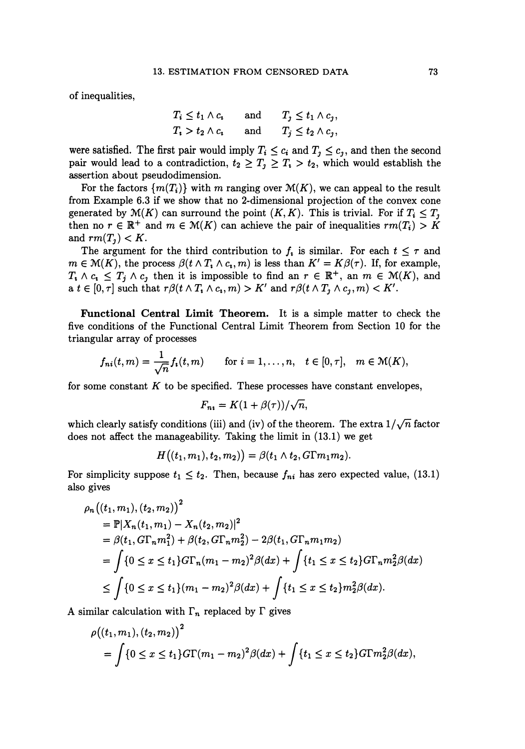of inequalities,

$$
T_i \le t_1 \wedge c_i \quad \text{and} \quad T_j \le t_1 \wedge c_j,
$$
  

$$
T_i > t_2 \wedge c_i \quad \text{and} \quad T_j \le t_2 \wedge c_j,
$$

were satisfied. The first pair would imply  $T_i \leq c_i$  and  $T_j \leq c_j$ , and then the second pair would lead to a contradiction,  $t_2 \geq T_1 \geq T_1 > t_2$ , which would establish the assertion about pseudodimension.

For the factors  $\{m(T_i)\}\$  with *m* ranging over  $M(K)$ , we can appeal to the result from Example 6.3 if we show that no 2-dimensional projection of the convex cone generated by  $\mathcal{M}(K)$  can surround the point  $(K, K)$ . This is trivial. For if  $T_i \leq T_i$ then no  $r \in \mathbb{R}^+$  and  $m \in \mathcal{M}(K)$  can achieve the pair of inequalities  $rm(T_i) > K$ and  $rm(T<sub>1</sub>) < K$ .

The argument for the third contribution to  $f_i$  is similar. For each  $t \leq \tau$  and  $m \in \mathcal{M}(K)$ , the process  $\beta(t \wedge T, \wedge c_i, m)$  is less than  $K' = K\beta(\tau)$ . If, for example,  $T_i \wedge c_i \leq T_j \wedge c_j$  then it is impossible to find an  $r \in \mathbb{R}^+$ , an  $m \in \mathcal{M}(K)$ , and a  $t \in [0, \tau]$  such that  $r\beta(t \wedge T, \wedge c_i, m) > K'$  and  $r\beta(t \wedge T, \wedge c_j, m) < K'.$ 

**Functional Central Limit Theorem.** It is a simple matter to check the five conditions of the Functional Central Limit Theorem from Section 10 for the triangular array of processes

$$
f_{ni}(t,m)=\frac{1}{\sqrt{n}}f_i(t,m) \qquad \text{for } i=1,\ldots,n, \quad t\in[0,\tau], \quad m\in\mathcal{M}(K),
$$

for some constant  $K$  to be specified. These processes have constant envelopes,

$$
F_{n\imath}=K(1+\beta(\tau))/\sqrt{n},
$$

which clearly satisfy conditions (iii) and (iv) of the theorem. The extra  $1/\sqrt{n}$  factor does not affect the manageability. Taking the limit in (13.1) we get

$$
H((t_1,m_1),t_2,m_2)) = \beta(t_1 \wedge t_2, G\Gamma m_1 m_2).
$$

For simplicity suppose  $t_1 \leq t_2$ . Then, because  $f_{ni}$  has zero expected value, (13.1) also gives

$$
\rho_n((t_1, m_1), (t_2, m_2))^2
$$
  
=  $\mathbb{P}|X_n(t_1, m_1) - X_n(t_2, m_2)|^2$   
=  $\beta(t_1, G\Gamma_n m_1^2) + \beta(t_2, G\Gamma_n m_2^2) - 2\beta(t_1, G\Gamma_n m_1 m_2)$   
=  $\int \{0 \le x \le t_1\} G\Gamma_n(m_1 - m_2)^2 \beta(dx) + \int \{t_1 \le x \le t_2\} G\Gamma_n m_2^2 \beta(dx)$   
 $\le \int \{0 \le x \le t_1\}(m_1 - m_2)^2 \beta(dx) + \int \{t_1 \le x \le t_2\} m_2^2 \beta(dx).$ 

A similar calculation with  $\Gamma_n$  replaced by  $\Gamma$  gives

$$
\rho((t_1, m_1), (t_2, m_2))^2
$$
  
= 
$$
\int \{0 \le x \le t_1\} G\Gamma(m_1 - m_2)^2 \beta(dx) + \int \{t_1 \le x \le t_2\} G\Gamma(m_2^2 \beta(dx)),
$$